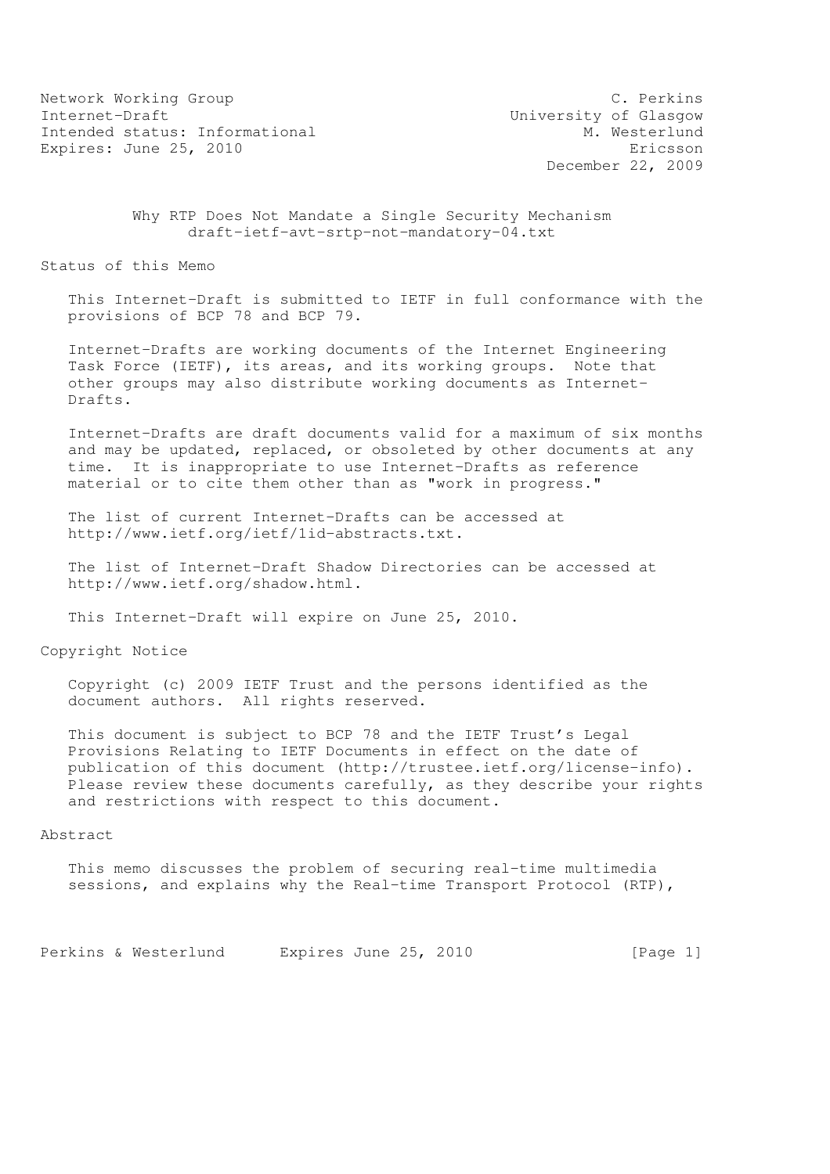Network Working Group C. Perkins Internet-Draft<br>Intended status: Informational M. Westerlund Intended status: Informational Expires: June 25, 2010 **Expires:** Expires:  $\frac{1}{2}$ 

December 22, 2009

 Why RTP Does Not Mandate a Single Security Mechanism draft-ietf-avt-srtp-not-mandatory-04.txt

Status of this Memo

 This Internet-Draft is submitted to IETF in full conformance with the provisions of BCP 78 and BCP 79.

 Internet-Drafts are working documents of the Internet Engineering Task Force (IETF), its areas, and its working groups. Note that other groups may also distribute working documents as Internet- Drafts.

 Internet-Drafts are draft documents valid for a maximum of six months and may be updated, replaced, or obsoleted by other documents at any time. It is inappropriate to use Internet-Drafts as reference material or to cite them other than as "work in progress."

 The list of current Internet-Drafts can be accessed at http://www.ietf.org/ietf/1id-abstracts.txt.

 The list of Internet-Draft Shadow Directories can be accessed at http://www.ietf.org/shadow.html.

This Internet-Draft will expire on June 25, 2010.

Copyright Notice

 Copyright (c) 2009 IETF Trust and the persons identified as the document authors. All rights reserved.

 This document is subject to BCP 78 and the IETF Trust's Legal Provisions Relating to IETF Documents in effect on the date of publication of this document (http://trustee.ietf.org/license-info). Please review these documents carefully, as they describe your rights and restrictions with respect to this document.

## Abstract

 This memo discusses the problem of securing real-time multimedia sessions, and explains why the Real-time Transport Protocol (RTP),

Perkins & Westerlund Expires June 25, 2010 [Page 1]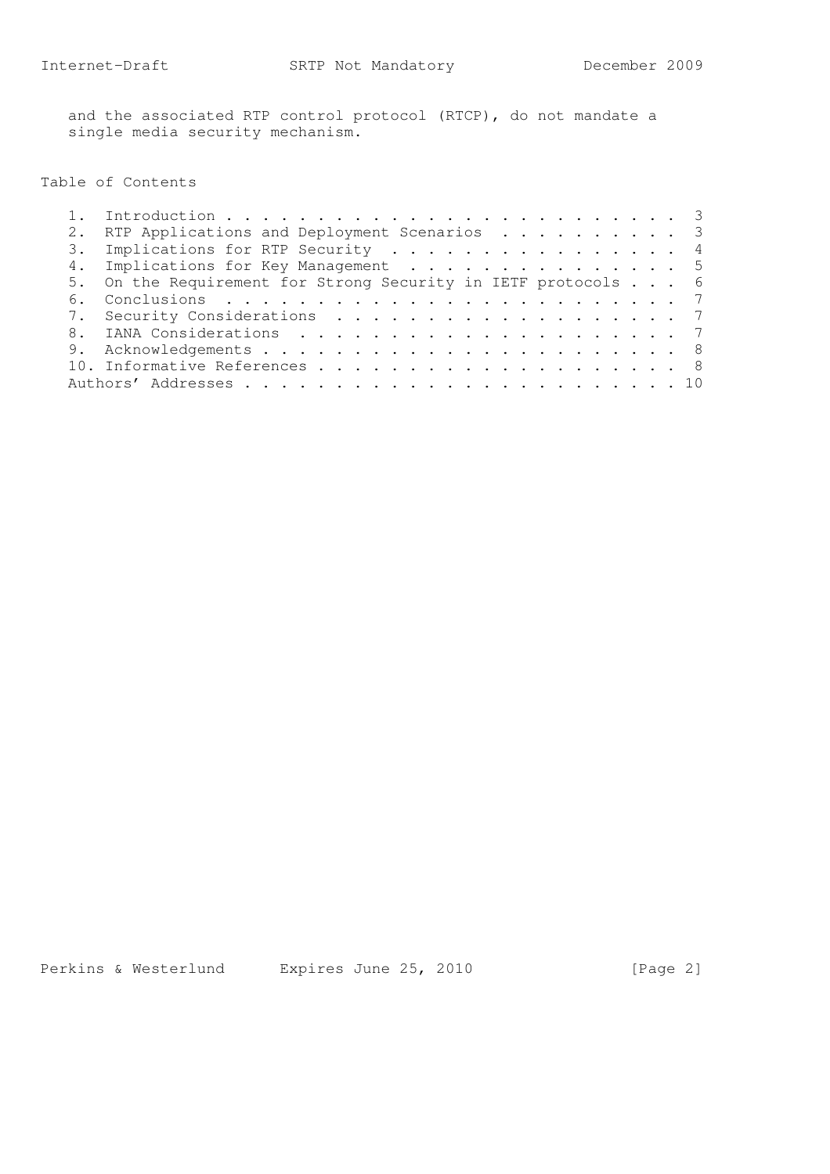and the associated RTP control protocol (RTCP), do not mandate a single media security mechanism.

# Table of Contents

| 6. |                                                                                                                                                                                                                            |
|----|----------------------------------------------------------------------------------------------------------------------------------------------------------------------------------------------------------------------------|
|    |                                                                                                                                                                                                                            |
|    |                                                                                                                                                                                                                            |
|    |                                                                                                                                                                                                                            |
|    |                                                                                                                                                                                                                            |
|    |                                                                                                                                                                                                                            |
|    | RTP Applications and Deployment Scenarios 3<br>3. Implications for RTP Security 4<br>4. Implications for Key Management 5<br>5. On the Requirement for Strong Security in IETF protocols 6<br>7. Security Considerations 7 |

Perkins & Westerlund Expires June 25, 2010 [Page 2]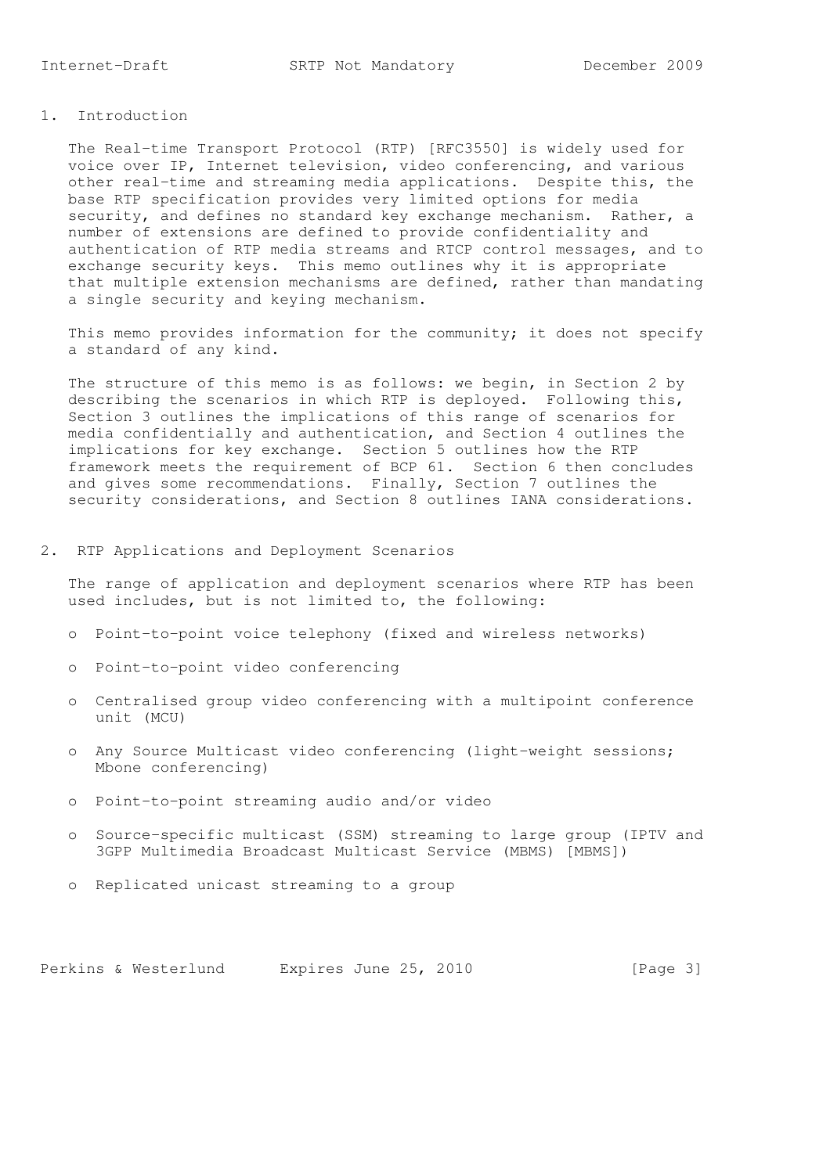## 1. Introduction

 The Real-time Transport Protocol (RTP) [RFC3550] is widely used for voice over IP, Internet television, video conferencing, and various other real-time and streaming media applications. Despite this, the base RTP specification provides very limited options for media security, and defines no standard key exchange mechanism. Rather, a number of extensions are defined to provide confidentiality and authentication of RTP media streams and RTCP control messages, and to exchange security keys. This memo outlines why it is appropriate that multiple extension mechanisms are defined, rather than mandating a single security and keying mechanism.

 This memo provides information for the community; it does not specify a standard of any kind.

The structure of this memo is as follows: we begin, in Section 2 by describing the scenarios in which RTP is deployed. Following this, Section 3 outlines the implications of this range of scenarios for media confidentially and authentication, and Section 4 outlines the implications for key exchange. Section 5 outlines how the RTP framework meets the requirement of BCP 61. Section 6 then concludes and gives some recommendations. Finally, Section 7 outlines the security considerations, and Section 8 outlines IANA considerations.

#### 2. RTP Applications and Deployment Scenarios

 The range of application and deployment scenarios where RTP has been used includes, but is not limited to, the following:

- o Point-to-point voice telephony (fixed and wireless networks)
- o Point-to-point video conferencing
- o Centralised group video conferencing with a multipoint conference unit (MCU)
- o Any Source Multicast video conferencing (light-weight sessions; Mbone conferencing)
- o Point-to-point streaming audio and/or video
- o Source-specific multicast (SSM) streaming to large group (IPTV and 3GPP Multimedia Broadcast Multicast Service (MBMS) [MBMS])
- o Replicated unicast streaming to a group

Perkins & Westerlund Expires June 25, 2010 [Page 3]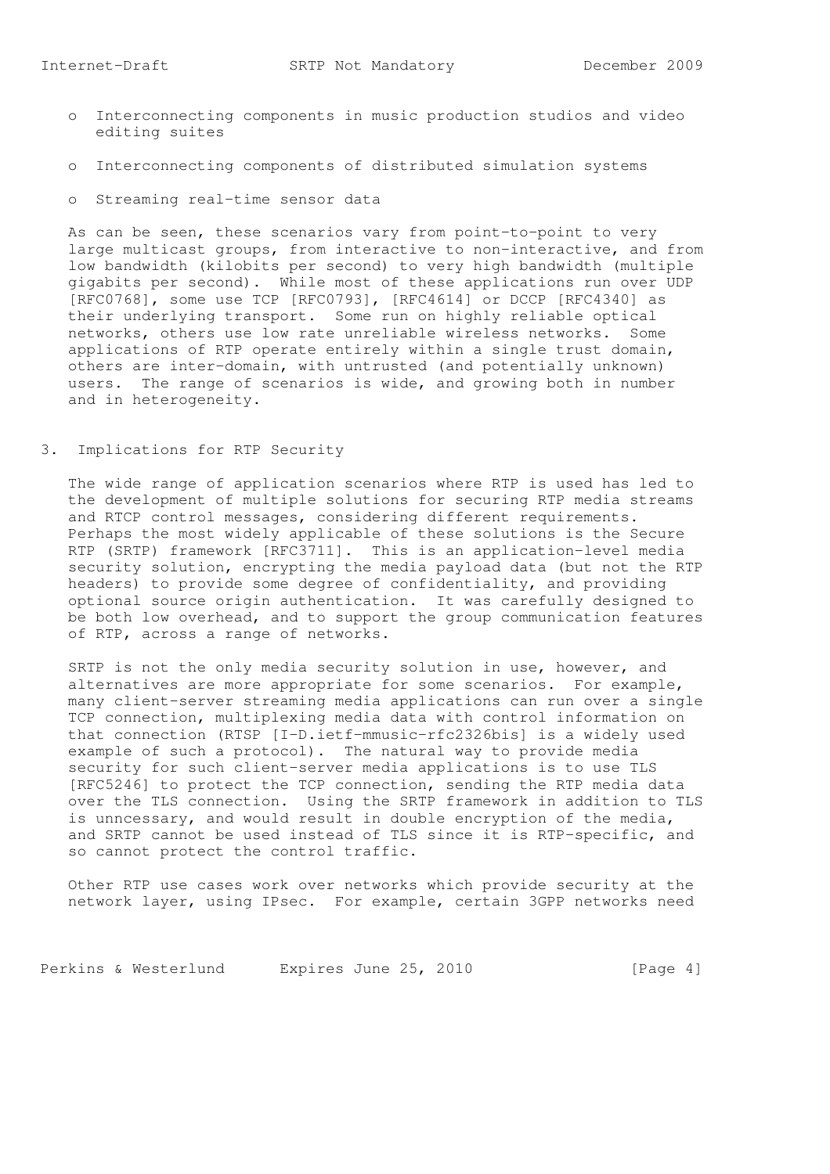- o Interconnecting components in music production studios and video editing suites
- o Interconnecting components of distributed simulation systems
- o Streaming real-time sensor data

 As can be seen, these scenarios vary from point-to-point to very large multicast groups, from interactive to non-interactive, and from low bandwidth (kilobits per second) to very high bandwidth (multiple gigabits per second). While most of these applications run over UDP [RFC0768], some use TCP [RFC0793], [RFC4614] or DCCP [RFC4340] as their underlying transport. Some run on highly reliable optical networks, others use low rate unreliable wireless networks. Some applications of RTP operate entirely within a single trust domain, others are inter-domain, with untrusted (and potentially unknown) users. The range of scenarios is wide, and growing both in number and in heterogeneity.

3. Implications for RTP Security

 The wide range of application scenarios where RTP is used has led to the development of multiple solutions for securing RTP media streams and RTCP control messages, considering different requirements. Perhaps the most widely applicable of these solutions is the Secure RTP (SRTP) framework [RFC3711]. This is an application-level media security solution, encrypting the media payload data (but not the RTP headers) to provide some degree of confidentiality, and providing optional source origin authentication. It was carefully designed to be both low overhead, and to support the group communication features of RTP, across a range of networks.

 SRTP is not the only media security solution in use, however, and alternatives are more appropriate for some scenarios. For example, many client-server streaming media applications can run over a single TCP connection, multiplexing media data with control information on that connection (RTSP [I-D.ietf-mmusic-rfc2326bis] is a widely used example of such a protocol). The natural way to provide media security for such client-server media applications is to use TLS [RFC5246] to protect the TCP connection, sending the RTP media data over the TLS connection. Using the SRTP framework in addition to TLS is unncessary, and would result in double encryption of the media, and SRTP cannot be used instead of TLS since it is RTP-specific, and so cannot protect the control traffic.

 Other RTP use cases work over networks which provide security at the network layer, using IPsec. For example, certain 3GPP networks need

Perkins & Westerlund Expires June 25, 2010 [Page 4]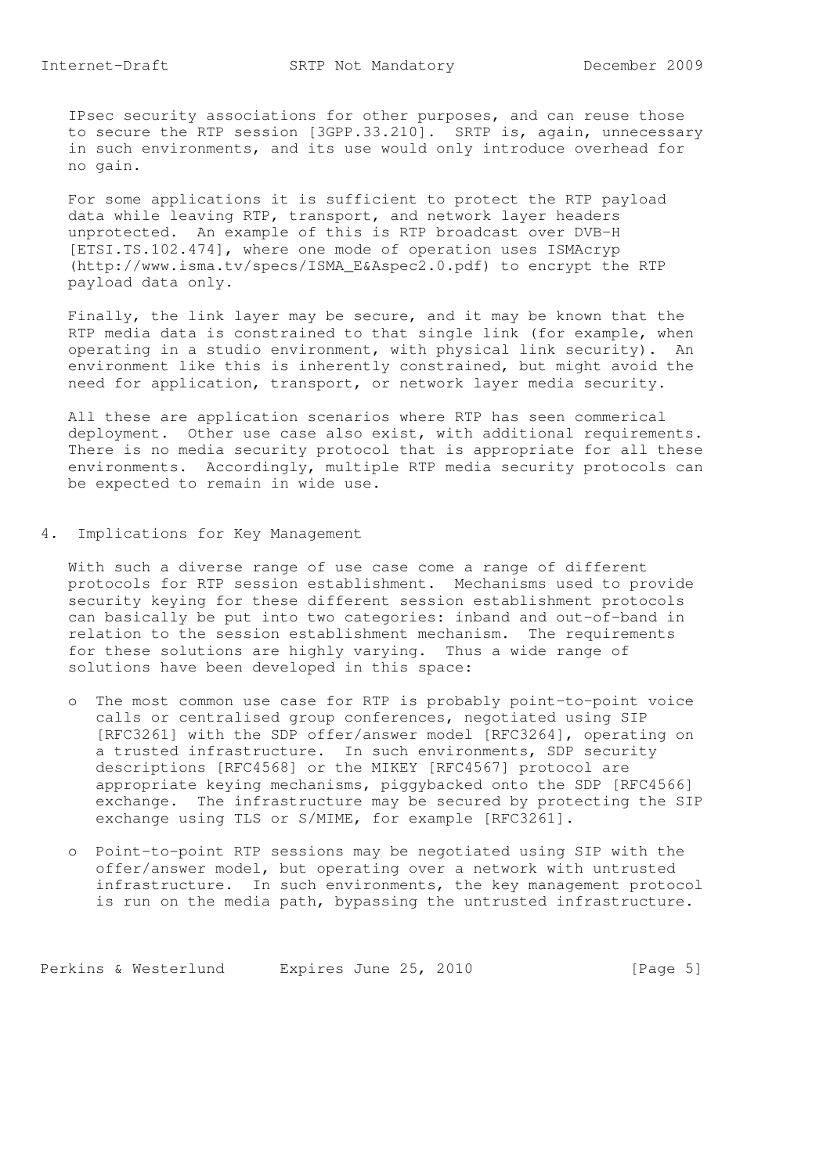IPsec security associations for other purposes, and can reuse those to secure the RTP session [3GPP.33.210]. SRTP is, again, unnecessary in such environments, and its use would only introduce overhead for no gain.

 For some applications it is sufficient to protect the RTP payload data while leaving RTP, transport, and network layer headers unprotected. An example of this is RTP broadcast over DVB-H [ETSI.TS.102.474], where one mode of operation uses ISMAcryp (http://www.isma.tv/specs/ISMA\_E&Aspec2.0.pdf) to encrypt the RTP payload data only.

 Finally, the link layer may be secure, and it may be known that the RTP media data is constrained to that single link (for example, when operating in a studio environment, with physical link security). An environment like this is inherently constrained, but might avoid the need for application, transport, or network layer media security.

 All these are application scenarios where RTP has seen commerical deployment. Other use case also exist, with additional requirements. There is no media security protocol that is appropriate for all these environments. Accordingly, multiple RTP media security protocols can be expected to remain in wide use.

4. Implications for Key Management

 With such a diverse range of use case come a range of different protocols for RTP session establishment. Mechanisms used to provide security keying for these different session establishment protocols can basically be put into two categories: inband and out-of-band in relation to the session establishment mechanism. The requirements for these solutions are highly varying. Thus a wide range of solutions have been developed in this space:

- o The most common use case for RTP is probably point-to-point voice calls or centralised group conferences, negotiated using SIP [RFC3261] with the SDP offer/answer model [RFC3264], operating on a trusted infrastructure. In such environments, SDP security descriptions [RFC4568] or the MIKEY [RFC4567] protocol are appropriate keying mechanisms, piggybacked onto the SDP [RFC4566] exchange. The infrastructure may be secured by protecting the SIP exchange using TLS or S/MIME, for example [RFC3261].
- o Point-to-point RTP sessions may be negotiated using SIP with the offer/answer model, but operating over a network with untrusted infrastructure. In such environments, the key management protocol is run on the media path, bypassing the untrusted infrastructure.

Perkins & Westerlund Expires June 25, 2010 [Page 5]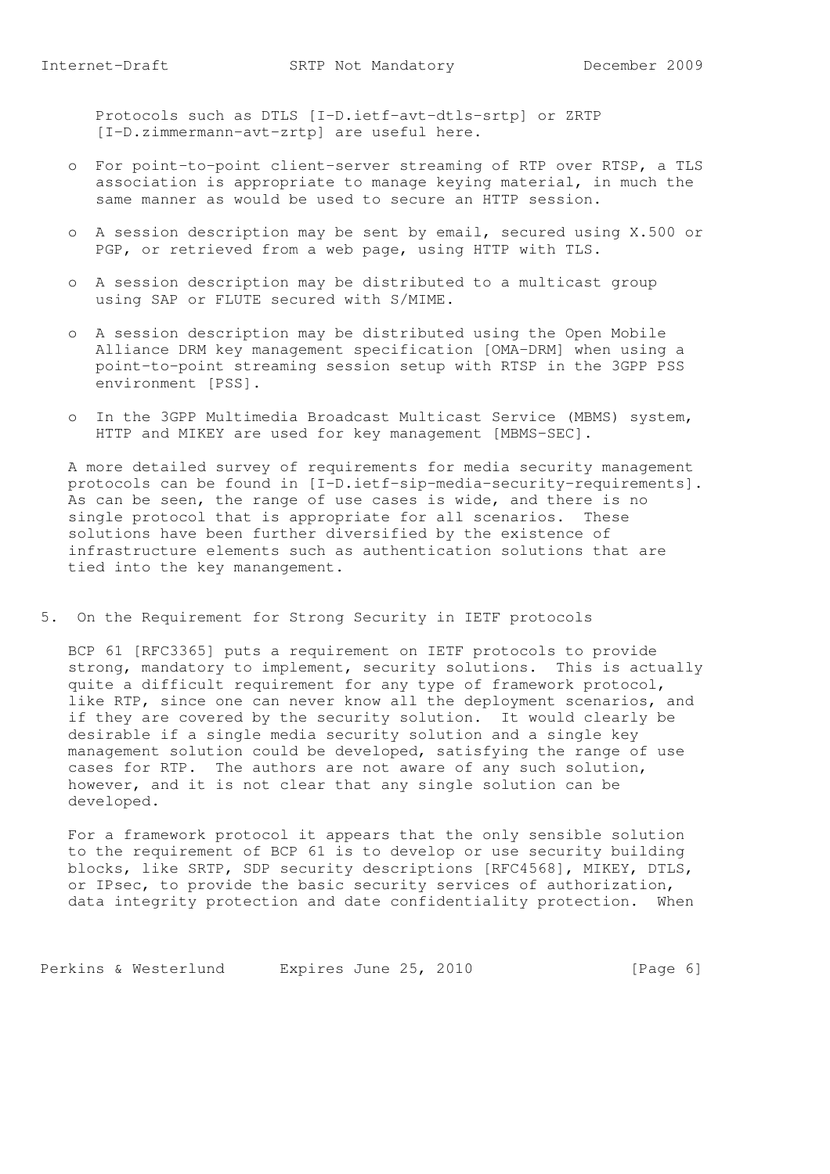Protocols such as DTLS [I-D.ietf-avt-dtls-srtp] or ZRTP [I-D.zimmermann-avt-zrtp] are useful here.

- o For point-to-point client-server streaming of RTP over RTSP, a TLS association is appropriate to manage keying material, in much the same manner as would be used to secure an HTTP session.
- o A session description may be sent by email, secured using X.500 or PGP, or retrieved from a web page, using HTTP with TLS.
- o A session description may be distributed to a multicast group using SAP or FLUTE secured with S/MIME.
- o A session description may be distributed using the Open Mobile Alliance DRM key management specification [OMA-DRM] when using a point-to-point streaming session setup with RTSP in the 3GPP PSS environment [PSS].
- o In the 3GPP Multimedia Broadcast Multicast Service (MBMS) system, HTTP and MIKEY are used for key management [MBMS-SEC].

 A more detailed survey of requirements for media security management protocols can be found in [I-D.ietf-sip-media-security-requirements]. As can be seen, the range of use cases is wide, and there is no single protocol that is appropriate for all scenarios. These solutions have been further diversified by the existence of infrastructure elements such as authentication solutions that are tied into the key manangement.

5. On the Requirement for Strong Security in IETF protocols

 BCP 61 [RFC3365] puts a requirement on IETF protocols to provide strong, mandatory to implement, security solutions. This is actually quite a difficult requirement for any type of framework protocol, like RTP, since one can never know all the deployment scenarios, and if they are covered by the security solution. It would clearly be desirable if a single media security solution and a single key management solution could be developed, satisfying the range of use cases for RTP. The authors are not aware of any such solution, however, and it is not clear that any single solution can be developed.

 For a framework protocol it appears that the only sensible solution to the requirement of BCP 61 is to develop or use security building blocks, like SRTP, SDP security descriptions [RFC4568], MIKEY, DTLS, or IPsec, to provide the basic security services of authorization, data integrity protection and date confidentiality protection. When

Perkins & Westerlund Expires June 25, 2010 [Page 6]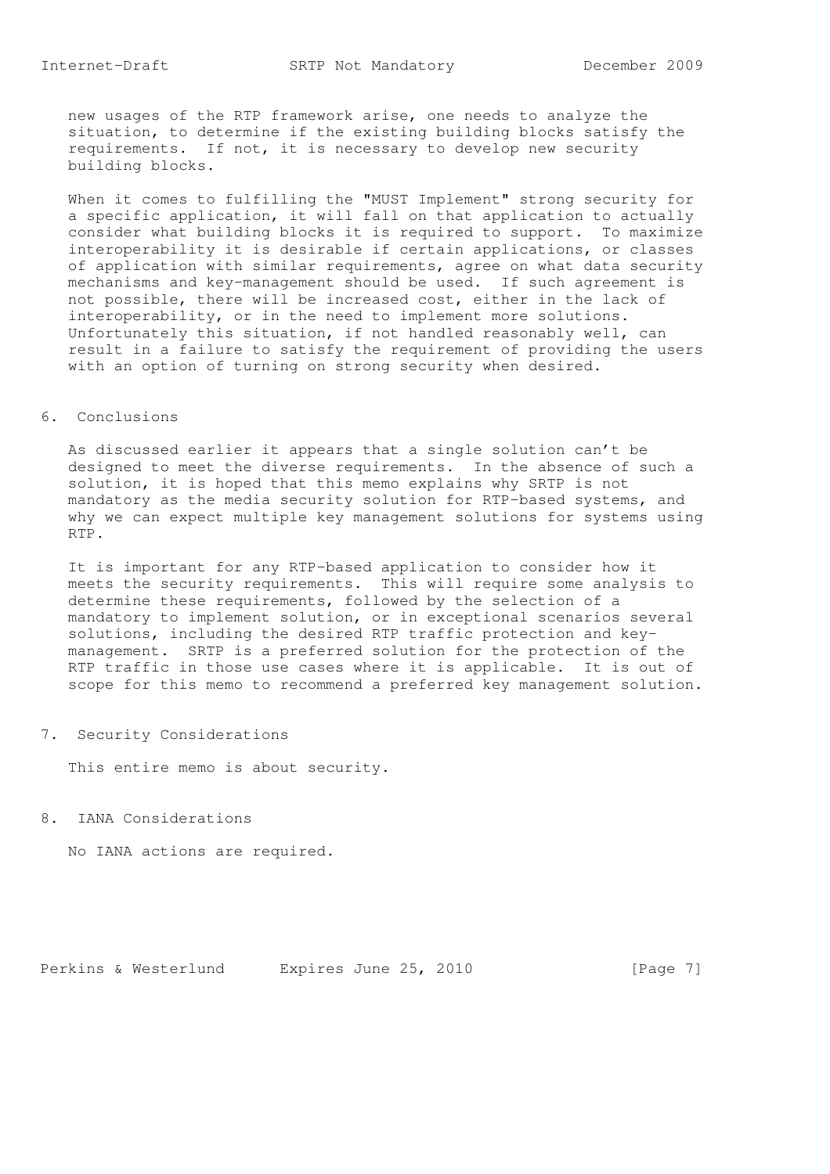new usages of the RTP framework arise, one needs to analyze the situation, to determine if the existing building blocks satisfy the requirements. If not, it is necessary to develop new security building blocks.

 When it comes to fulfilling the "MUST Implement" strong security for a specific application, it will fall on that application to actually consider what building blocks it is required to support. To maximize interoperability it is desirable if certain applications, or classes of application with similar requirements, agree on what data security mechanisms and key-management should be used. If such agreement is not possible, there will be increased cost, either in the lack of interoperability, or in the need to implement more solutions. Unfortunately this situation, if not handled reasonably well, can result in a failure to satisfy the requirement of providing the users with an option of turning on strong security when desired.

## 6. Conclusions

 As discussed earlier it appears that a single solution can't be designed to meet the diverse requirements. In the absence of such a solution, it is hoped that this memo explains why SRTP is not mandatory as the media security solution for RTP-based systems, and why we can expect multiple key management solutions for systems using RTP.

 It is important for any RTP-based application to consider how it meets the security requirements. This will require some analysis to determine these requirements, followed by the selection of a mandatory to implement solution, or in exceptional scenarios several solutions, including the desired RTP traffic protection and key management. SRTP is a preferred solution for the protection of the RTP traffic in those use cases where it is applicable. It is out of scope for this memo to recommend a preferred key management solution.

7. Security Considerations

This entire memo is about security.

8. IANA Considerations

No IANA actions are required.

Perkins & Westerlund Expires June 25, 2010 [Page 7]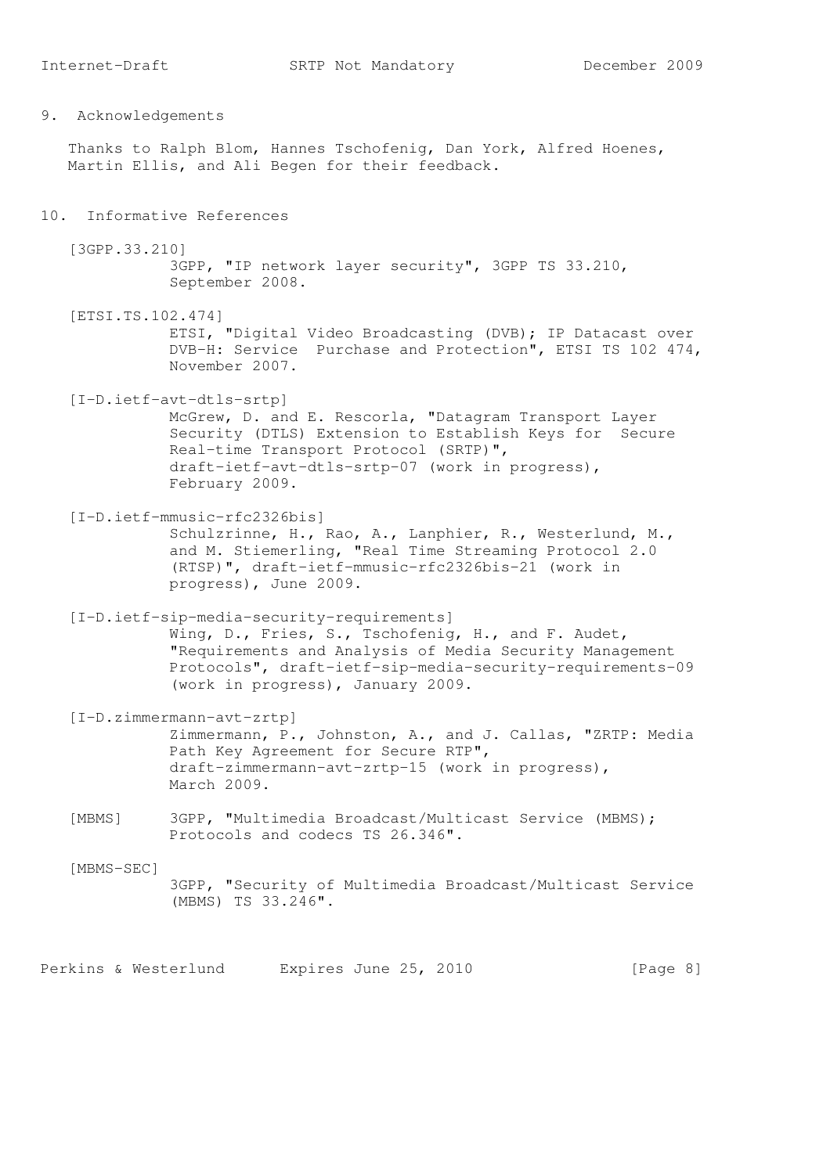9. Acknowledgements

 Thanks to Ralph Blom, Hannes Tschofenig, Dan York, Alfred Hoenes, Martin Ellis, and Ali Begen for their feedback.

### 10. Informative References

 [3GPP.33.210] 3GPP, "IP network layer security", 3GPP TS 33.210, September 2008.

 [ETSI.TS.102.474] ETSI, "Digital Video Broadcasting (DVB); IP Datacast over DVB-H: Service Purchase and Protection", ETSI TS 102 474, November 2007.

 [I-D.ietf-avt-dtls-srtp] McGrew, D. and E. Rescorla, "Datagram Transport Layer Security (DTLS) Extension to Establish Keys for Secure Real-time Transport Protocol (SRTP)", draft-ietf-avt-dtls-srtp-07 (work in progress), February 2009.

 [I-D.ietf-mmusic-rfc2326bis] Schulzrinne, H., Rao, A., Lanphier, R., Westerlund, M., and M. Stiemerling, "Real Time Streaming Protocol 2.0 (RTSP)", draft-ietf-mmusic-rfc2326bis-21 (work in progress), June 2009.

 [I-D.ietf-sip-media-security-requirements] Wing, D., Fries, S., Tschofenig, H., and F. Audet, "Requirements and Analysis of Media Security Management Protocols", draft-ietf-sip-media-security-requirements-09 (work in progress), January 2009.

 [I-D.zimmermann-avt-zrtp] Zimmermann, P., Johnston, A., and J. Callas, "ZRTP: Media Path Key Agreement for Secure RTP", draft-zimmermann-avt-zrtp-15 (work in progress), March 2009.

 [MBMS] 3GPP, "Multimedia Broadcast/Multicast Service (MBMS); Protocols and codecs TS 26.346".

[MBMS-SEC]

 3GPP, "Security of Multimedia Broadcast/Multicast Service (MBMS) TS 33.246".

Perkins & Westerlund Expires June 25, 2010 [Page 8]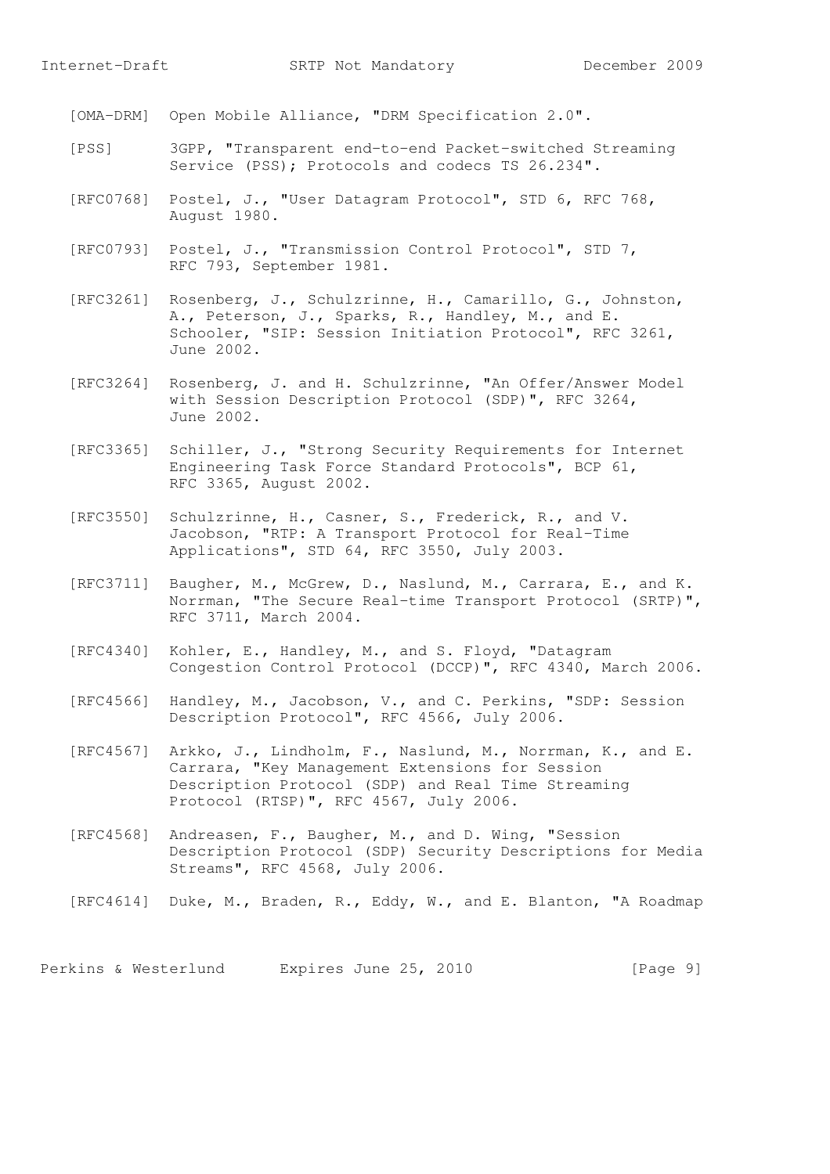[OMA-DRM] Open Mobile Alliance, "DRM Specification 2.0".

- [PSS] 3GPP, "Transparent end-to-end Packet-switched Streaming Service (PSS); Protocols and codecs TS 26.234".
- [RFC0768] Postel, J., "User Datagram Protocol", STD 6, RFC 768, August 1980.
- [RFC0793] Postel, J., "Transmission Control Protocol", STD 7, RFC 793, September 1981.
- [RFC3261] Rosenberg, J., Schulzrinne, H., Camarillo, G., Johnston, A., Peterson, J., Sparks, R., Handley, M., and E. Schooler, "SIP: Session Initiation Protocol", RFC 3261, June 2002.
- [RFC3264] Rosenberg, J. and H. Schulzrinne, "An Offer/Answer Model with Session Description Protocol (SDP)", RFC 3264, June 2002.
- [RFC3365] Schiller, J., "Strong Security Requirements for Internet Engineering Task Force Standard Protocols", BCP 61, RFC 3365, August 2002.
- [RFC3550] Schulzrinne, H., Casner, S., Frederick, R., and V. Jacobson, "RTP: A Transport Protocol for Real-Time Applications", STD 64, RFC 3550, July 2003.
- [RFC3711] Baugher, M., McGrew, D., Naslund, M., Carrara, E., and K. Norrman, "The Secure Real-time Transport Protocol (SRTP)", RFC 3711, March 2004.
- [RFC4340] Kohler, E., Handley, M., and S. Floyd, "Datagram Congestion Control Protocol (DCCP)", RFC 4340, March 2006.
- [RFC4566] Handley, M., Jacobson, V., and C. Perkins, "SDP: Session Description Protocol", RFC 4566, July 2006.
- [RFC4567] Arkko, J., Lindholm, F., Naslund, M., Norrman, K., and E. Carrara, "Key Management Extensions for Session Description Protocol (SDP) and Real Time Streaming Protocol (RTSP)", RFC 4567, July 2006.
- [RFC4568] Andreasen, F., Baugher, M., and D. Wing, "Session Description Protocol (SDP) Security Descriptions for Media Streams", RFC 4568, July 2006.
- [RFC4614] Duke, M., Braden, R., Eddy, W., and E. Blanton, "A Roadmap

Perkins & Westerlund Expires June 25, 2010 [Page 9]